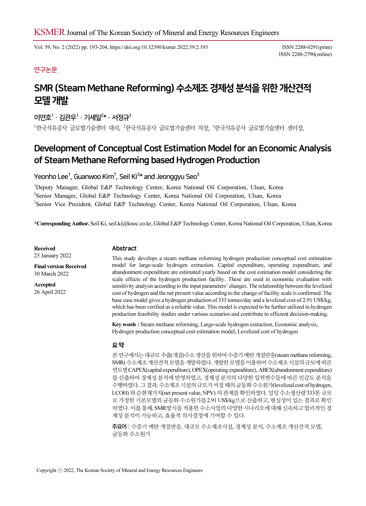Vol. 59, No. 2 (2022) pp. 193-204, https://doi.org/10.32390/ksmer.2022.59.2.193 ISSN 2288-0291(print)

ISSN 2288-2790(online)

## 연구논문

# SMR (Steam Methane Reforming) 수소제조 경제성 분석을 위한 개산견적 모델 개발

# 이연호 $1 \cdot 21$ 관우 $1 \cdot 71$ 세일 $^{2*} \cdot 147$ 정규 $^{3}$

 $^1$ 한국석유공사 글로벌기술센터 대리, <sup>2</sup>한국석유공사 글로벌기술센터 차장,  $^3$ 한국석유공사 글로벌기술센터 센터장,

# Development of Conceptual Cost Estimation Model for an Economic Analysis of Steam Methane Reforming based Hydrogen Production

# Yeonho Lee<sup>1</sup>, Guanwoo Kim<sup>1</sup>, Seil Ki<sup>2</sup>\* and Jeonggyu Seo<sup>3</sup>

1 Deputy Manager, Global E&P Technology Center, Korea National Oil Corporation, Ulsan, Korea 2 Senior Manager, Global E&P Technology Center, Korea National Oil Corporation, Ulsan, Korea <sup>3</sup>Senior Vice President, Global E&P Technology Center, Korea National Oil Corporation, Ulsan, Korea

\*Corresponding Author. Seil Ki, seil.ki@knoc.co.kr, Global E&P Technology Center, Korea National Oil Corporation, Ulsan, Korea

Received 25 January 2022

Final version Received 30 March 2022 Accepted 26 April 2022

## Abstract

This study develops a steam methane reforming hydrogen production conceptual cost estimation model for large-scale hydrogen extraction. Capital expenditure, operating expenditure, and abandonment expenditure are estimated yearly based on the cost estimation model considering the scale effects of the hydrogen production facility. These are used in economic evaluation with sensitivity analysis according to the input parameters' changes. The relationship between the levelized cost of hydrogen and the net present value according to the change of facility scale is confirmed. The base case model gives a hydrogen production of 333 tonnes/day and a levelized cost of 2.91 US\$/kg, which has been verified as a reliable value. This model is expected to be further utilized in hydrogen production feasibility studies under various scenarios and contribute to efficient decision-making.

Key words : Steam methane reforming, Large-scale hydrogen extraction, Economic analysis, Hydrogen production conceptual cost estimation model, Levelized cost of hydrogen

#### 요 약

본 연구에서는 대규모 추출(개질)수소 생산을 위하여 수증기 메탄 개질반응(steam methane reforming, SMR) 수소제조 개산견적 모델을 개발하였다. 개발한 모델을 이용하여 수소제조 시설의 규모에 따른 연도별 CAPEX(capital expenditure), OPEX(operating expenditure), ABEX(abandonment expenditure) 를 산출하여 경제성 분석에 반영하였고, 경제성 분석의 다양한 입력변수들에 따른 민감도 분석을 수행하였다. 그 결과, 수소제조 시설의 규모가 커질 때의 균등화 수소원가(levelized cost of hydrogen, LCOH) 와 순현재가치(net present value, NPV) 의 관계를 확인하였다. 일일 수소생산량 333톤 규모 로 가정한 기본모델의 균등화 수소원가를 2.91 US\$/kg으로 산출하고, 현실성이 있는 결과로 확인 하였다. 이를 통해, SMR방식을 적용한 수소사업의 다양한 시나리오에 대해 신속하고 합리적인 경 제성 분석이 가능하고, 효율적 의사결정에 기여할 수 있다.

주요어 : 수증기 메탄 개질반응, 대규모 수소제조시설, 경제성 분석, 수소제조 개산견적 모델, 균등화 수소원가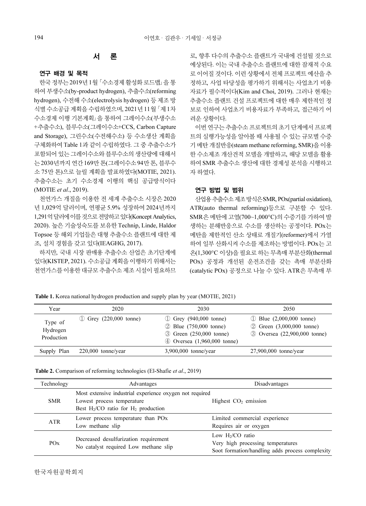### 서 론

#### 연구 배경 및 목적

한국 정부는 2019년 1월 「수소경제 활성화 로드맵」을 통 하여 부생수소(by-product hydrogen), 추출수소(reforming hydrogen), 수전해 수소(electrolysis hydrogen) 등 제조 방 식별 수소공급 계획을 수립하였으며, 2021년 11월 「제 1차 수소경제 이행 기본계획」을 통하여 그레이수소(부생수소 +추출수소), 블루수소(그레이수소+CCS, Carbon Capture and Storage), 그린수소(수전해수소) 등 수소생산 계획을 구체화하여 Table 1과 같이 수립하였다. 그 중 추출수소가 포함되어 있는 그레이수소와 블루수소의 생산량에 대해서 는 2030년까지 연간 169만 톤(그레이수소 94만 톤, 블루수 소 75만 톤)으로 늘릴 계획을 발표하였다(MOTIE, 2021). 추출수소는 초기 수소경제 이행의 핵심 공급방식이다 (MOTIE et al., 2019).

천연가스 개질을 이용한 전 세계 추출수소 시장은 2020 년 1,029억 달러이며, 연평균 5.9% 성장하여 2024년까지 1,291억 달러에 이를 것으로 전망하고 있다(Koncept Analytics, 2020). 높은 기술성숙도를 보유한 Technip, Linde, Haldor Topsoe 등 해외 기업들은 대형 추출수소 플랜트에 대한 제 조, 설치 경험을 갖고 있다(IEAGHG, 2017).

하지만, 국내 시장 판매용 추출수소 산업은 초기단계에 있다(KISTEP, 2021). 수소공급 계획을 이행하기 위해서는 천연가스를 이용한 대규모 추출수소 제조 시설이 필요하므

로, 향후 다수의 추출수소 플랜트가 국내에 건설될 것으로 예상된다. 이는 국내 추출수소 플랜트에 대한 잠재적 수요 로 이어질 것이다. 이런 상황에서 전체 프로젝트 예산을 추 정하고, 사업 타당성을 평가하기 위해서는 사업초기 비용 자료가 필수적이다(Kim and Choi, 2019). 그러나 현재는 추출수소 플랜트 건설 프로젝트에 대한 매우 제한적인 정 보로 인하여 사업초기 비용자료가 부족하고, 접근하기 어 려운 상황이다.

이번 연구는 추출수소 프로젝트의 초기 단계에서 프로젝 트의 실행가능성을 알아볼 때 사용될 수 있는 규모별 수증 기 메탄 개질반응(steam methane reforming, SMR)을 이용 한 수소제조 개산견적 모델을 개발하고, 해당 모델을 활용 하여 SMR 추출수소 생산에 대한 경제성 분석을 시행하고 자 하였다.

### 연구 방법 및 범위

산업용 추출수소 제조 방식은 SMR, POx(partial oxidation), ATR(auto thermal reforming)등으로 구분할 수 있다. SMR은 메탄에 고열(700~1,000°C)의 수증기를 가하여 발 생하는 분해반응으로 수소를 생산하는 공정이다. POx는 메탄을 제한적인 산소 상태로 개질기(reformer)에서 가열 하여 일부 산화시켜 수소를 제조하는 방법이다. POx는 고 온(1,300°C 이상)을 필요로 하는 무촉매 부분산화(thermal POx) 공정과 개선된 운전조건을 갖는 촉매 부분산화 (catalytic POx) 공정으로 나눌 수 있다. ATR은 무촉매 부

Table 1. Korea national hydrogen production and supply plan by year (MOTIE, 2021)

| Year                              | 2020                               | 2030                                                                                                                     | 2050                                                                                                  |
|-----------------------------------|------------------------------------|--------------------------------------------------------------------------------------------------------------------------|-------------------------------------------------------------------------------------------------------|
| Type of<br>Hydrogen<br>Production | (1) Grey $(220,000 \text{ tonne})$ | (1) Grey $(940,000 \text{ tonne})$<br>(2) Blue (750,000 tonne)<br>3 Green (250,000 tonne)<br>4 Oversea (1,960,000 tonne) | $\textcircled{1}$ Blue (2,000,000 tonne)<br>2 Green (3,000,000 tonne)<br>3 Oversea (22,900,000 tonne) |
| Supply Plan                       | $220,000$ tonne/year               | $3,900,000$ tonne/year                                                                                                   | $27,900,000$ tonne/year                                                                               |

|  |  |  |  | <b>Table 2.</b> Comparison of reforming technologies (El-Shafie <i>et al.</i> , 2019) |  |
|--|--|--|--|---------------------------------------------------------------------------------------|--|
|--|--|--|--|---------------------------------------------------------------------------------------|--|

| Technology            | Advantages                                                                                                                         | Disadvantages                                                                                              |  |  |  |
|-----------------------|------------------------------------------------------------------------------------------------------------------------------------|------------------------------------------------------------------------------------------------------------|--|--|--|
| <b>SMR</b>            | Most extensive industrial experience oxygen not required<br>Lowest process temperature<br>Best $H_2/CO$ ratio for $H_2$ production | Highest CO <sub>2</sub> emission                                                                           |  |  |  |
| ATR                   | Lower process temperature than PO <sub>x</sub><br>Low methane slip                                                                 | Limited commercial experience<br>Requires air or oxygen                                                    |  |  |  |
| <b>PO<sub>x</sub></b> | Decreased desulfurization requirement<br>No catalyst required Low methane slip                                                     | Low $H_2/CO$ ratio<br>Very high processing temperatures<br>Soot formation/handling adds process complexity |  |  |  |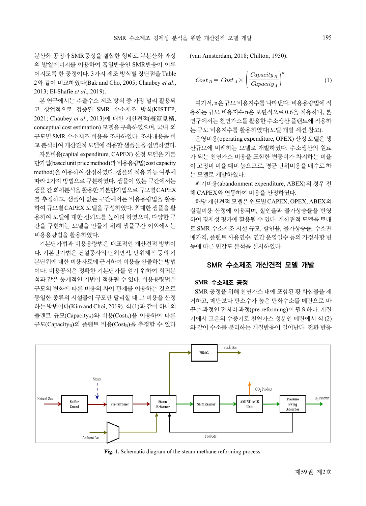분산화 공정과 SMR공정을 결합한 형태로 부분산화 과정 의 발열에너지를 이용하여 흡열반응인 SMR반응이 이루 어지도록 한 공정이다. 3가지 제조 방식별 장단점을 Table 2와 같이 비교하였다(Bak and Cho, 2005; Chaubey et al., 2013; El-Shafie et al., 2019).

본 연구에서는 추출수소 제조 방식 중 가장 널리 활용되 고 상업적으로 검증된 SMR 수소제조 방식(KISTEP, 2021; Chaubey et al., 2013)에 대한 개산견적(槪算見積, conceptual cost estimation) 모델을 구축하였으며, 국내·외 규모별 SMR 수소제조 비용을 조사하였다. 조사내용을 비 교 분석하여 개산견적 모델에 적용할 샘플들을 선별하였다.

자본비용(capital expenditure, CAPEX) 산정 모델은 기본 단가법(based unit price method)과 비용용량법(cost capacity method)을 이용하여 산정하였다. 샘플의 적용 가능 여부에 따라 2가지 방법으로 구분하였다. 샘플이 있는 구간에서는 샘플 간 회귀분석을 활용한 기본단가법으로 규모별 CAPEX 를 추정하고, 샘플이 없는 구간에서는 비용용량법을 활용 하여 규모별 CAPEX 모델을 구성하였다. 최대한 샘플을 활 용하여 모델에 대한 신뢰도를 높이려 하였으며, 다양한 구 간을 구현하는 모델을 만들기 위해 샘플구간 이외에서는 비용용량법을 활용하였다.

기본단가법과 비용용량법은 대표적인 개산견적 방법이 다. 기본단가법은 건설공사의 단위면적, 단위체적 등의 기 본단위에 대한 비용자료에 근거하여 비용을 산출하는 방법 이다. 비용공식은 정확한 기본단가를 얻기 위하여 회귀분 석과 같은 통계적인 기법이 적용될 수 있다. 비용용량법은 규모의 변화에 따른 비용의 차이 관계를 이용하는 것으로 동일한 종류의 시설물이 규모만 달리할 때 그 비용을 산정 하는 방법이다(Kim and Choi, 2019). 식 (1)과 같이 하나의 플랜트 규모(CapacityA)와 비용(CostA)을 이용하여 다른 규모(CapacityB)의 플랜트 비용(CostB)을 추정할 수 있다 (van Amsterdam, 2018; Chilton, 1950).

한 개산경적 모텔 개발 195  
an Amsterdam, 2018; Chilton, 1950).  

$$
Cost_B = Cost_A \times \left(\frac{Capacity_B}{Capacity_A}\right)^n
$$
 (1)

여기서, n은 규모 비용지수를 나타낸다. 비용용량법에 적 용하는 규모 비용지수 n은 보편적으로 0.6을 적용하나, 본 연구에서는 천연가스를 활용한 수소생산 플랜트에 적용하 는 규모 비용지수를 활용하였다(모델 개발 세션 참고).

운영비용(operating expenditure, OPEX) 산정 모델은 생 산규모에 비례하는 모델로 개발하였다. 수소생산의 원료 가 되는 천연가스 비용을 포함한 변동비가 차지하는 비율 이 고정비 비율 대비 높으므로, 평균 단위비용을 배수로 하 는 모델로 개발하였다.

폐기비용(abandonment expenditure, ABEX)의 경우 전 체 CAPEX와 연동하여 비용을 산정하였다.

해당 개산견적 모델은 연도별 CAPEX, OPEX, ABEX의 실질비용 산정에 이용되며, 할인율과 물가상승률을 반영 하여 경제성 평가에 활용될 수 있다. 개산견적 모델을 토대 로 SMR 수소제조 시설 규모, 할인율, 물가상승률, 수소판 매가격, 플랜트 사용연수, 연간 운영일수 등의 가정사항 변 동에 따른 민감도 분석을 실시하였다.

## SMR 수소제조 개산견적 모델 개발

#### SMR 수소제조 공정

SMR 공정을 위해 천연가스 내에 포함된 황 화합물을 제 거하고, 메탄보다 탄소수가 높은 탄화수소를 메탄으로 바 꾸는 과정인 전처리 과정(pre-reforming)이 필요하다. 개질 기에서 고온의 수증기로 천연가스 성분인 메탄에서 식 (2) 와 같이 수소를 분리하는 개질반응이 일어난다. 전환 반응



Fig. 1. Schematic diagram of the steam methane reforming process.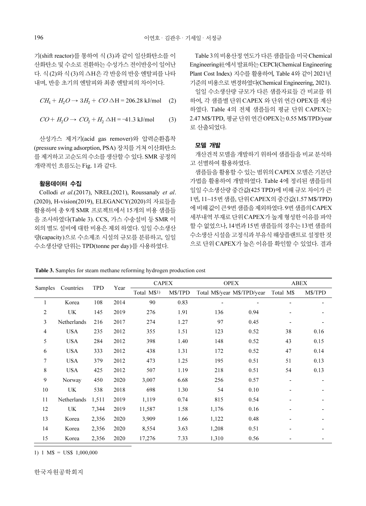기(shift reactor)를 통하여 식 (3)과 같이 일산화탄소를 이 산화탄소 및 수소로 전환하는 수성가스 전이반응이 일어난 다. 식 (2)와 식 (3)의 ∆H은 각 반응의 반응 엔탈피를 나타 내며, 반응 초기의 엔탈피와 최종 엔탈피의 차이이다.

$$
CH_4 + H_2O \to 3H_2 + CO \triangle H = 206.28 \text{ kJ/mol}
$$
 (2)

 $CO + H_2O \rightarrow CO_2 + H_2 \triangle H = -41.3 \text{ kJ/mol}$  (3)

산성가스 제거기(acid gas remover)와 압력순환흡착 (pressure swing adsorption, PSA) 장치를 거쳐 이산화탄소 를 제거하고 고순도의 수소를 생산할 수 있다. SMR 공정의 개략적인 흐름도는 Fig. 1과 같다.

#### 활용데이터 수집

Collodi et al.(2017), NREL(2021), Roussanaly et al. (2020), H-vision(2019), ELEGANCY(2020)의 자료들을 활용하여 총 9개 SMR 프로젝트에서 15개의 비용 샘플들 을 조사하였다(Table 3). CCS, 가스 수송설비 등 SMR 이 외의 별도 설비에 대한 비용은 제외 하였다. 일일 수소생산 량(capacity)으로 수소제조 시설의 규모를 분류하고, 일일 수소생산량 단위는 TPD(tonne per day)를 사용하였다.

Table 3의 비용산정 연도가 다른 샘플들을 미국 Chemical Engineering社에서 발표하는 CEPCI(Chemical Engineering Plant Cost Index) 지수를 활용하여, Table 4와 같이 2021년 기준의 비용으로 변경하였다(Chemical Engineering, 2021).

일일 수소생산량 규모가 다른 샘플자료들 간 비교를 위 하여, 각 샘플별 단위 CAPEX 와 단위 연간 OPEX를 계산 하였다. Table 4의 전체 샘플들의 평균 단위 CAPEX는 2.47 M\$/TPD, 평균 단위 연간 OPEX는 0.55 M\$/TPD/year 로 산출되었다.

## 모델 개발

개산견적 모델을 개발하기 위하여 샘플들을 비교 분석하 고 선별하여 활용하였다.

샘플들을 활용할 수 있는 범위의 CAPEX 모델은 기본단 가법을 활용하여 개발하였다. Table 4에 정리된 샘플들의 일일 수소생산량 중간값(425 TPD)에 비해 규모 차이가 큰 1번, 11~15번 샘플, 단위 CAPEX의 중간값(1.57 M\$/TPD) 에 비해 값이 큰9번 샘플을 제외하였다. 9번 샘플의 CAPEX 세부내역 부재로 단위 CAPEX가 높게 형성한 이유를 파악 할 수 없었으나, 14번과 15번 샘플들의 경우는 13번 샘플의 수소생산 시설을 고정식과 부유식 해상플랜트로 설정한 것 으로 단위 CAPEX가 높은 이유를 확인할 수 있었다. 결과

|  |  |  | Table 3. Samples for steam methane reforming hydrogen production cost |
|--|--|--|-----------------------------------------------------------------------|
|  |  |  |                                                                       |

| Samples<br>Countries |             | TPD   | Year | <b>CAPEX</b> |         | <b>OPEX</b>                 |      | ABEX      |         |
|----------------------|-------------|-------|------|--------------|---------|-----------------------------|------|-----------|---------|
|                      |             |       |      | Total M\$1)  | M\$/TPD | Total M\$/year M\$/TPD/year |      | Total M\$ | M\$/TPD |
| 1                    | Korea       | 108   | 2014 | 90           | 0.83    | ٠                           |      |           |         |
| $\overline{2}$       | UK          | 145   | 2019 | 276          | 1.91    | 136                         | 0.94 |           |         |
| 3                    | Netherlands | 216   | 2017 | 274          | 1.27    | 97                          | 0.45 |           |         |
| 4                    | <b>USA</b>  | 235   | 2012 | 355          | 1.51    | 123                         | 0.52 | 38        | 0.16    |
| 5                    | <b>USA</b>  | 284   | 2012 | 398          | 1.40    | 148                         | 0.52 | 43        | 0.15    |
| 6                    | <b>USA</b>  | 333   | 2012 | 438          | 1.31    | 172                         | 0.52 | 47        | 0.14    |
| 7                    | <b>USA</b>  | 379   | 2012 | 473          | 1.25    | 195                         | 0.51 | 51        | 0.13    |
| 8                    | <b>USA</b>  | 425   | 2012 | 507          | 1.19    | 218                         | 0.51 | 54        | 0.13    |
| 9                    | Norway      | 450   | 2020 | 3,007        | 6.68    | 256                         | 0.57 |           |         |
| 10                   | UK          | 538   | 2018 | 698          | 1.30    | 54                          | 0.10 |           |         |
| 11                   | Netherlands | 1,511 | 2019 | 1,119        | 0.74    | 815                         | 0.54 |           |         |
| 12                   | UK.         | 7,344 | 2019 | 11,587       | 1.58    | 1,176                       | 0.16 |           |         |
| 13                   | Korea       | 2,356 | 2020 | 3,909        | 1.66    | 1,122                       | 0.48 |           |         |
| 14                   | Korea       | 2,356 | 2020 | 8,554        | 3.63    | 1,208                       | 0.51 |           |         |
| 15                   | Korea       | 2,356 | 2020 | 17,276       | 7.33    | 1,310                       | 0.56 |           |         |

1) 1 M\$ = US\$ 1,000,000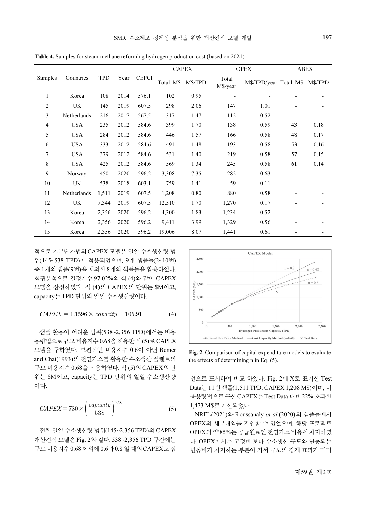|                   |                                                                                                             |                |              |                |                 |                                                                                                                                                                                                            | SMR 수소제조 경제성 분석을 위한 개산견적 모델 개발                                                                           |                                                      |                                | 197                  |
|-------------------|-------------------------------------------------------------------------------------------------------------|----------------|--------------|----------------|-----------------|------------------------------------------------------------------------------------------------------------------------------------------------------------------------------------------------------------|----------------------------------------------------------------------------------------------------------|------------------------------------------------------|--------------------------------|----------------------|
|                   |                                                                                                             |                |              |                |                 |                                                                                                                                                                                                            | Table 4. Samples for steam methane reforming hydrogen production cost (based on 2021)                    |                                                      |                                |                      |
|                   |                                                                                                             |                |              |                |                 |                                                                                                                                                                                                            |                                                                                                          |                                                      |                                |                      |
| Samples           | Countries                                                                                                   | <b>TPD</b>     | Year         | <b>CEPCI</b>   | Total M\$       | <b>CAPEX</b><br>M\$/TPD                                                                                                                                                                                    | <b>OPEX</b><br>Total<br>M\$/year                                                                         |                                                      | M\$/TPD/year Total M\$ M\$/TPD | <b>ABEX</b>          |
| $\mathbf{1}$<br>2 | Korea<br>UK                                                                                                 | 108<br>145     | 2014<br>2019 | 576.1<br>607.5 | 102<br>298      | 0.95<br>2.06                                                                                                                                                                                               | 147                                                                                                      | 1.01                                                 |                                |                      |
| 3                 | Netherlands                                                                                                 | 216            | 2017         | 567.5          | 317             | 1.47                                                                                                                                                                                                       | 112                                                                                                      | 0.52                                                 |                                |                      |
| 4                 | <b>USA</b>                                                                                                  | 235            | 2012         | 584.6          | 399             | 1.70                                                                                                                                                                                                       | 138                                                                                                      | 0.59                                                 | 43                             | 0.18                 |
| 5                 | <b>USA</b>                                                                                                  | 284            | 2012         | 584.6          | 446             | 1.57                                                                                                                                                                                                       | 166                                                                                                      | 0.58                                                 | 48                             | 0.17                 |
| 6<br>7            | <b>USA</b><br><b>USA</b>                                                                                    | 333<br>379     | 2012<br>2012 | 584.6<br>584.6 | 491<br>531      | 1.48<br>1.40                                                                                                                                                                                               | 193<br>219                                                                                               | 0.58<br>0.58                                         | 53<br>57                       | 0.16<br>0.15         |
| 8                 | <b>USA</b>                                                                                                  | 425            | 2012         | 584.6          | 569             | 1.34                                                                                                                                                                                                       | 245                                                                                                      | 0.58                                                 | 61                             | 0.14                 |
| 9                 | Norway                                                                                                      | 450            | 2020         | 596.2          | 3,308           | 7.35                                                                                                                                                                                                       | 282                                                                                                      | 0.63                                                 |                                |                      |
| 10                | UK                                                                                                          | 538            | 2018         | 603.1          | 759             | 1.41                                                                                                                                                                                                       | 59                                                                                                       | 0.11                                                 |                                |                      |
| 11                | Netherlands                                                                                                 | 1,511          | 2019         | 607.5          | 1,208           | 0.80                                                                                                                                                                                                       | 880                                                                                                      | 0.58                                                 |                                |                      |
| 12                | UK                                                                                                          | 7,344          | 2019         | 607.5          | 12,510          | 1.70                                                                                                                                                                                                       | 1,270                                                                                                    | 0.17                                                 |                                |                      |
| 13<br>14          | Korea                                                                                                       | 2,356          | 2020         | 596.2          | 4,300           | 1.83                                                                                                                                                                                                       | 1,234                                                                                                    | 0.52                                                 |                                |                      |
| 15                | Korea<br>Korea                                                                                              | 2,356<br>2,356 | 2020<br>2020 | 596.2<br>596.2 | 9,411<br>19,006 | 3.99<br>8.07                                                                                                                                                                                               | 1,329<br>1,441                                                                                           | 0.56<br>0.61                                         | $\overline{\phantom{a}}$       |                      |
|                   | 적으로 기본단가법의 CAPEX 모델은 일일 수소생산량 범                                                                             |                |              |                |                 |                                                                                                                                                                                                            |                                                                                                          | <b>CAPEX Model</b>                                   |                                |                      |
|                   | 위(145~538 TPD)에 적용되었으며, 9개 샘플들(2~10번)                                                                       |                |              |                |                 | 2,500                                                                                                                                                                                                      |                                                                                                          |                                                      | $n = 0.8$                      |                      |
|                   | 중 1개의 샘플(9번)을 제외한 8개의 샘플들을 활용하였다.                                                                           |                |              |                |                 | 2,000                                                                                                                                                                                                      |                                                                                                          |                                                      |                                |                      |
|                   | 회귀분석으로 결정계수 97.02%의 식 (4)와 같이 CAPEX<br>모델을 산정하였다. 식 (4)의 CAPEX의 단위는 \$M이고,<br>capacity는 TPD 단위의 일일 수소생산량이다. |                |              |                |                 | $\begin{array}{l} \textcircled{\scriptsize s}\hbox{\scriptsize 1,500} \\ \textcircled{\scriptsize x}\hbox{\scriptsize 1,500} \\ \textcircled{\scriptsize t}\hbox{\scriptsize 1,000}\hskip.2em \end{array}$ |                                                                                                          |                                                      |                                |                      |
|                   | $CAPEX = 1.1596 \times capacity + 105.91$                                                                   |                |              |                | (4)             | 500                                                                                                                                                                                                        |                                                                                                          |                                                      |                                |                      |
|                   | 샘플 활용이 어려운 범위(538~2,356 TPD)에서는 비용<br>용량법으로 규모 비용지수 0.68을 적용한 식 (5)로 CAPEX                                  |                |              |                |                 | $\theta$                                                                                                                                                                                                   | 500<br>- Based Unit Price Method - - Cost Capacity Method (n=0.68)                                       | 1,000<br>1,500<br>Hydrogen Production Capacity (TPD) | 2,000                          | 2,500<br>X Test Data |
|                   | 모델을 구하였다. 보편적인 비용지수 0.6이 아닌 Remer<br>and Chai(1993)의 천연가스를 활용한 수소생산 플랜트의                                    |                |              |                |                 |                                                                                                                                                                                                            | Fig. 2. Comparison of capital expenditure models to evaluate<br>the effects of determining n in Eq. (5). |                                                      |                                |                      |
|                   | 규모 비용지수 0.68을 적용하였다. 식 (5)의 CAPEX의 단<br>위는 \$M이고, capacity는 TPD 단위의 일일 수소생산량                                |                |              |                |                 |                                                                                                                                                                                                            | 선으로 도시하여 비교 하였다. Fig. 2에 X로 표기한 Test                                                                     |                                                      |                                |                      |
| 이다.               |                                                                                                             |                |              |                |                 |                                                                                                                                                                                                            | Data는 11번 샘플(1,511 TPD, CAPEX 1,208 M\$)이며, 비<br>용용량법으로 구한 CAPEX는 Test Data 대비 22% 초과한                   |                                                      |                                |                      |

Table 4. Samples for steam methane reforming hydrogen production cost (based on 2021)

$$
CAPEX = 1.1596 \times capacity + 105.91 \tag{4}
$$

$$
CAPEX = 730 \times \left(\frac{capacity}{538}\right)^{0.68}
$$
 (5)

전체 일일 수소생산량 범위(145~2,356 TPD)의 CAPEX 개산견적 모델은 Fig. 2와 같다. 538~2,356 TPD 구간에는 규모 비용지수 0.68 이외에 0.6과 0.8 일 때의 CAPEX도 점



Fig. 2. Comparison of capital expenditure models to evaluate the effects of determining n in Eq. (5).

NREL(2021)와 Roussanaly et al.(2020)의 샘플들에서 OPEX의 세부내역을 확인할 수 있었으며, 해당 프로젝트 OPEX의 약85%는 공급원료인 천연가스 비용이 차지하였 다. OPEX에서는 고정비 보다 수소생산 규모와 연동되는 변동비가 차지하는 부분이 커서 규모의 경제 효과가 미미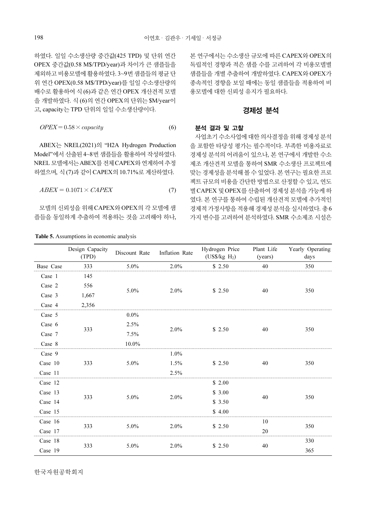하였다. 일일 수소생산량 중간값(425 TPD) 및 단위 연간 OPEX 중간값(0.58 M\$/TPD/year)과 차이가 큰 샘플들을 제외하고 비용모델에 활용하였다. 3~9번 샘플들의 평균 단 위 연간 OPEX(0.58 M\$/TPD/year)를 일일 수소생산량의 배수로 활용하여 식 (6)과 같은 연간 OPEX 개산견적 모델 을 개발하였다. 식 (6)의 연간 OPEX의 단위는 \$M/year이 고, capacity는 TPD 단위의 일일 수소생산량이다.

$$
OPEX = 0.58 \times capacity
$$
 (6)

ABEX는 NREL(2021)의 "H2A Hydrogen Production Model"에서 산출된 4~8번 샘플들을 활용하여 작성하였다. NREL 모델에서는 ABEX를 전체 CAPEX와 연계하여 추정 하였으며, 식 (7)과 같이 CAPEX의 10.71%로 계산하였다.

$$
ABEX = 0.1071 \times CAPEX \tag{7}
$$

모델의 신뢰성을 위해 CAPEX와 OPEX의 각 모델에 샘 플들을 동일하게 추출하여 적용하는 것을 고려해야 하나,

| <b>Table 5.</b> Assumptions in economic analysis |  |  |
|--------------------------------------------------|--|--|
|                                                  |  |  |

본 연구에서는 수소생산 규모에 따른 CAPEX와 OPEX의 독립적인 경향과 적은 샘플 수를 고려하여 각 비용모델별 샘플들을 개별 추출하여 개발하였다. CAPEX와 OPEX가 종속적인 경향을 보일 때에는 동일 샘플들을 적용하여 비 용모델에 대한 신뢰성 유지가 필요하다.

## 경제성 분석

#### 분석 결과 및 고찰

사업초기 수소사업에 대한 의사결정을 위해 경제성 분석 을 포함한 타당성 평가는 필수적이다. 부족한 비용자료로 경제성 분석의 어려움이 있으나, 본 연구에서 개발한 수소 제조 개산견적 모델을 통하여 SMR 수소생산 프로젝트에 맞는 경제성을 분석해 볼 수 있었다. 본 연구는 필요한 프로 젝트 규모의 비용을 간단한 방법으로 산정할 수 있고, 연도 별 CAPEX 및 OPEX를 산출하여 경제성 분석을 가능케 하 였다. 본 연구를 통하여 수립된 개산견적 모델에 추가적인 경제적 가정사항을 적용해 경제성 분석을 실시하였다. 총6 가지 변수를 고려하여 분석하였다. SMR 수소제조 시설은

|           | Design Capacity<br>(TPD) | Discount Rate | Inflation Rate | Hydrogen Price<br>(US\$/kg H <sub>2</sub> ) | Plant Life<br>(years) | Yearly Operating<br>days |  |
|-----------|--------------------------|---------------|----------------|---------------------------------------------|-----------------------|--------------------------|--|
| Base Case | 333                      | 5.0%          | 2.0%           | \$2.50                                      | 40                    | 350                      |  |
| Case 1    | 145                      |               |                |                                             |                       |                          |  |
| Case 2    | 556                      |               |                |                                             |                       |                          |  |
| Case 3    | 1,667                    | 5.0%          | 2.0%           | \$2.50                                      | 40                    | 350                      |  |
| Case 4    | 2,356                    |               |                |                                             |                       |                          |  |
| Case 5    |                          | $0.0\%$       |                |                                             |                       |                          |  |
| Case 6    |                          | 2.5%          | $2.0\%$        | \$2.50                                      | 40                    | 350                      |  |
| Case 7    | 333                      | 7.5%          |                |                                             |                       |                          |  |
| Case 8    |                          | 10.0%         |                |                                             |                       |                          |  |
| Case 9    |                          |               | $1.0\%$        |                                             |                       |                          |  |
| Case 10   | 333                      | 5.0%          | 1.5%           | \$2.50                                      | 40                    | 350                      |  |
| Case 11   |                          |               | 2.5%           |                                             |                       |                          |  |
| Case 12   |                          |               |                | \$2.00                                      |                       |                          |  |
| Case 13   |                          |               |                | \$3.00                                      |                       |                          |  |
| Case 14   | 333                      | 5.0%          | 2.0%           | \$3.50                                      | 40                    | 350                      |  |
| Case 15   |                          |               |                | \$4.00                                      |                       |                          |  |
| Case 16   |                          |               |                |                                             | 10                    |                          |  |
| Case 17   | 333                      | 5.0%          | $2.0\%$        | \$2.50                                      | 20                    | 350                      |  |
| Case 18   |                          |               |                |                                             |                       | 330                      |  |
| Case 19   | 333                      | 5.0%          | 2.0%           | \$2.50                                      | 40                    | 365                      |  |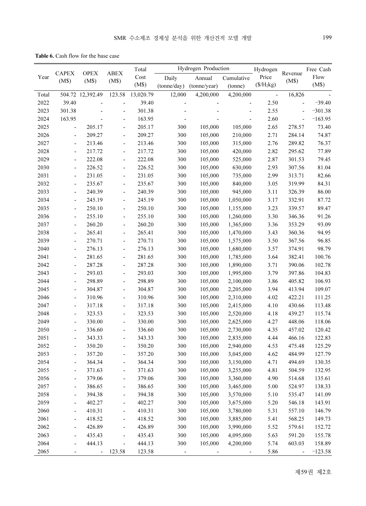Table 6. Cash flow for the base case

|       | Total<br><b>OPEX</b>     |                  |                              |                 | Hydrogen Production |                          |                          |                   | Free Cash        |           |
|-------|--------------------------|------------------|------------------------------|-----------------|---------------------|--------------------------|--------------------------|-------------------|------------------|-----------|
| Year  | <b>CAPEX</b><br>(M\$)    | (M\$)            | <b>ABEX</b><br>(M\$)         | $\mathbf{Cost}$ | Daily               | Annual                   | Cumulative               | Hydrogen<br>Price | Revenue<br>(M\$) | Flow      |
|       |                          |                  |                              | (M\$)           | (tonne/day)         | (tonne/year)             | (tonne)                  | $(\$/H_2kg)$      |                  | (M\$)     |
| Total |                          | 504.72 12,392.49 | 123.58                       | 13,020.79       | 12,000              | 4,200,000                | 4,200,000                | $\Box$            | 16,826           |           |
| 2022  | 39.40                    |                  | $\blacksquare$               | 39.40           |                     |                          | $\overline{\phantom{a}}$ | 2.50              | $\blacksquare$   | $-39.40$  |
| 2023  | 301.38                   |                  | $\overline{a}$               | 301.38          |                     |                          |                          | 2.55              | $\overline{a}$   | $-301.38$ |
| 2024  | 163.95                   | ÷,               | $\blacksquare$               | 163.95          |                     |                          | $\blacksquare$           | 2.60              | $\overline{a}$   | $-163.95$ |
| 2025  | $\blacksquare$           | 205.17           | $\blacksquare$               | 205.17          | 300                 | 105,000                  | 105,000                  | 2.65              | 278.57           | 73.40     |
| 2026  | $\overline{\phantom{a}}$ | 209.27           | $\overline{\phantom{a}}$     | 209.27          | 300                 | 105,000                  | 210,000                  | 2.71              | 284.14           | 74.87     |
| 2027  | $\overline{\phantom{a}}$ | 213.46           | $\overline{\phantom{a}}$     | 213.46          | 300                 | 105,000                  | 315,000                  | 2.76              | 289.82           | 76.37     |
| 2028  | $\overline{\phantom{a}}$ | 217.72           | $\overline{\phantom{a}}$     | 217.72          | 300                 | 105,000                  | 420,000                  | 2.82              | 295.62           | 77.89     |
| 2029  | $\overline{\phantom{a}}$ | 222.08           | $\overline{\phantom{a}}$     | 222.08          | 300                 | 105,000                  | 525,000                  | 2.87              | 301.53           | 79.45     |
| 2030  | $\overline{\phantom{a}}$ | 226.52           | $\overline{\phantom{a}}$     | 226.52          | 300                 | 105,000                  | 630,000                  | 2.93              | 307.56           | 81.04     |
| 2031  | $\overline{\phantom{a}}$ | 231.05           | $\overline{\phantom{a}}$     | 231.05          | 300                 | 105,000                  | 735,000                  | 2.99              | 313.71           | 82.66     |
| 2032  | $\frac{1}{2}$            | 235.67           | $\overline{\phantom{a}}$     | 235.67          | 300                 | 105,000                  | 840,000                  | 3.05              | 319.99           | 84.31     |
| 2033  | $\frac{1}{2}$            | 240.39           | $\qquad \qquad \blacksquare$ | 240.39          | 300                 | 105,000                  | 945,000                  | 3.11              | 326.39           | 86.00     |
| 2034  | $\overline{\phantom{a}}$ | 245.19           | $\qquad \qquad \blacksquare$ | 245.19          | 300                 | 105,000                  | 1,050,000                | 3.17              | 332.91           | 87.72     |
| 2035  | $\overline{\phantom{a}}$ | 250.10           | $\qquad \qquad \blacksquare$ | 250.10          | 300                 | 105,000                  | 1,155,000                | 3.23              | 339.57           | 89.47     |
| 2036  | $\frac{1}{2}$            | 255.10           | $\qquad \qquad \blacksquare$ | 255.10          | 300                 | 105,000                  | 1,260,000                | 3.30              | 346.36           | 91.26     |
| 2037  | $\overline{\phantom{a}}$ | 260.20           | $\qquad \qquad \blacksquare$ | 260.20          | 300                 | 105,000                  | 1,365,000                | 3.36              | 353.29           | 93.09     |
| 2038  | $\overline{\phantom{a}}$ | 265.41           | $\blacksquare$               | 265.41          | 300                 | 105,000                  | 1,470,000                | 3.43              | 360.36           | 94.95     |
| 2039  | $\blacksquare$           | 270.71           | $\blacksquare$               | 270.71          | 300                 | 105,000                  | 1,575,000                | 3.50              | 367.56           | 96.85     |
| 2040  | ÷                        | 276.13           | $\overline{\phantom{a}}$     | 276.13          | 300                 | 105,000                  | 1,680,000                | 3.57              | 374.91           | 98.79     |
| 2041  | $\overline{\phantom{a}}$ | 281.65           | $\overline{\phantom{a}}$     | 281.65          | 300                 | 105,000                  | 1,785,000                | 3.64              | 382.41           | 100.76    |
| 2042  | $\overline{\phantom{a}}$ | 287.28           | $\overline{\phantom{a}}$     | 287.28          | 300                 | 105,000                  | 1,890,000                | 3.71              | 390.06           | 102.78    |
| 2043  | $\overline{\phantom{a}}$ | 293.03           | $\overline{\phantom{a}}$     | 293.03          | 300                 | 105,000                  | 1,995,000                | 3.79              | 397.86           | 104.83    |
| 2044  | $\blacksquare$           | 298.89           | $\blacksquare$               | 298.89          | 300                 | 105,000                  | 2,100,000                | 3.86              | 405.82           | 106.93    |
| 2045  | $\blacksquare$           | 304.87           | $\blacksquare$               | 304.87          | 300                 | 105,000                  | 2,205,000                | 3.94              | 413.94           | 109.07    |
| 2046  | $\blacksquare$           | 310.96           | $\overline{\phantom{a}}$     | 310.96          | 300                 | 105,000                  | 2,310,000                | 4.02              | 422.21           | 111.25    |
| 2047  | $\blacksquare$           | 317.18           | $\blacksquare$               | 317.18          | 300                 | 105,000                  | 2,415,000                | 4.10              | 430.66           | 113.48    |
| 2048  | $\blacksquare$           | 323.53           | $\blacksquare$               | 323.53          | 300                 | 105,000                  | 2,520,000                | 4.18              | 439.27           | 115.74    |
| 2049  | $\blacksquare$           | 330.00           | $\blacksquare$               | 330.00          | 300                 | 105,000                  | 2,625,000                | 4.27              | 448.06           | 118.06    |
| 2050  | $\overline{\phantom{a}}$ | 336.60           | $\blacksquare$               | 336.60          | 300                 | 105,000                  | 2,730,000                | 4.35              | 457.02           | 120.42    |
| 2051  | $\overline{\phantom{a}}$ | 343.33           | $\blacksquare$               | 343.33          | 300                 | 105,000                  | 2,835,000                | 4.44              | 466.16           | 122.83    |
| 2052  | $\blacksquare$           | 350.20           | $\blacksquare$               | 350.20          | 300                 | 105,000                  | 2,940,000                | 4.53              | 475.48           | 125.29    |
| 2053  | $\blacksquare$           | 357.20           | $\blacksquare$               | 357.20          | 300                 | 105,000                  | 3,045,000                | 4.62              | 484.99           | 127.79    |
| 2054  | $\blacksquare$           | 364.34           | $\blacksquare$               | 364.34          | 300                 | 105,000                  | 3,150,000                | 4.71              | 494.69           | 130.35    |
| 2055  |                          | 371.63           |                              | 371.63          | $300\,$             | 105,000                  | 3,255,000                | 4.81              | 504.59           | 132.95    |
| 2056  |                          | 379.06           | $\qquad \qquad \blacksquare$ | 379.06          | 300                 | 105,000                  | 3,360,000                | 4.90              | 514.68           | 135.61    |
| 2057  | $\overline{\phantom{a}}$ | 386.65           | $\blacksquare$               | 386.65          | 300                 | 105,000                  | 3,465,000                | $5.00\,$          | 524.97           | 138.33    |
| 2058  | $\frac{1}{2}$            | 394.38           | $\qquad \qquad \blacksquare$ | 394.38          | 300                 | 105,000                  | 3,570,000                | 5.10              | 535.47           | 141.09    |
| 2059  | $\frac{1}{2}$            | 402.27           | $\qquad \qquad \blacksquare$ | 402.27          | 300                 | 105,000                  | 3,675,000                | 5.20              | 546.18           | 143.91    |
| 2060  | $\overline{\phantom{a}}$ | 410.31           | $\qquad \qquad \blacksquare$ | 410.31          | 300                 | 105,000                  | 3,780,000                | 5.31              | 557.10           | 146.79    |
| 2061  | $\overline{\phantom{a}}$ | 418.52           | $\overline{\phantom{a}}$     | 418.52          | 300                 | 105,000                  | 3,885,000                | 5.41              | 568.25           | 149.73    |
| 2062  | $\overline{\phantom{0}}$ | 426.89           | $\qquad \qquad \blacksquare$ | 426.89          | 300                 | 105,000                  | 3,990,000                | 5.52              | 579.61           | 152.72    |
| 2063  | $\overline{\phantom{0}}$ | 435.43           | $\qquad \qquad \blacksquare$ | 435.43          | 300                 | 105,000                  | 4,095,000                | 5.63              | 591.20           | 155.78    |
| 2064  | $\frac{1}{2}$            | 444.13           | $\overline{\phantom{a}}$     | 444.13          | 300                 | 105,000                  | 4,200,000                | 5.74              | 603.03           | 158.89    |
| 2065  | -                        | $\sim$           | 123.58                       | 123.58          | $\blacksquare$      | $\overline{\phantom{a}}$ | $\overline{\phantom{a}}$ | 5.86              | $\blacksquare$   | $-123.58$ |

제59권 제2호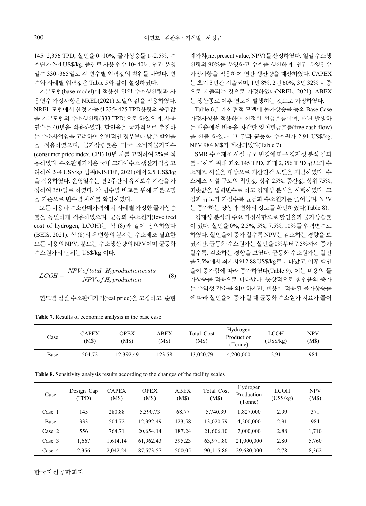145~2,356 TPD, 할인율 0~10%, 물가상승률 1~2.5%, 수 소단가 2~4 US\$/kg, 플랜트 사용 연수 10~40년, 연간 운영 일수 330~365일로 각 변수별 입력값의 범위를 나눴다. 변 수와 사례별 입력값은 Table 5와 같이 설정하였다.

기본모델(base model)에 적용한 일일 수소생산량과 사 용연수 가정사항은 NREL(2021) 모델의 값을 적용하였다. NREL 모델에서 산정 가능한 235~425 TPD용량의 중간값 을 기본모델의 수소생산량(333 TPD)으로 하였으며, 사용 연수는 40년을 적용하였다. 할인율은 국가적으로 추진하 는 수소사업임을 고려하여 일반적인 경우보다 낮은 할인율 을 적용하였으며, 물가상승률은 미국 소비자물가지수 (consumer price index, CPI) 10년 치를 고려하여 2%로 적 용하였다. 수소판매가격은 국내 그레이수소 생산가격을 고 려하여 2~4 US\$/kg 범위(KISTEP, 2021)에서 2.5 US\$/kg 을 적용하였다. 운영일수는 연 2주간의 유지보수 기간을 가 정하여 350일로 하였다. 각 변수별 비교를 위해 기본모델 을 기준으로 변수별 차이를 확인하였다. 00<br>5-2,356 TPD, 할인율 0~10%, 물가상승률 1~2<br>5-2,356 TPD, 할인율 0~10%, 물가상승률 1~2<br>:단가 2~4 US\$/kg, 플랜트 사용 연수 10~40년, 연<br>수 330~365일로 각 변수별 입력값의 범위를 나<br>와 사례별 입력값은 Table 5와 같이 설정하였다<br>기본모델(base model)에 적용한 일일 수소생산<br>연수 가정사항은 NREL(2021) 모델의 값

모든 비용과 수소판매가격에 각 사례별 가정한 물가상승 률을 동일하게 적용하였으며, 균등화 수소원가(levelized cost of hydrogen, LCOH)는 식 (8)과 같이 정의하였다 (BEIS, 2021). 식 (8)의 우변항의 분자는 수소제조 필요한 모든 비용의 NPV, 분모는 수소생산량의 NPV이며 균등화 수소원가의 단위는 US\$/kg 이다.

$$
LCOH = \frac{NPV of total H_2 production costs}{NPV of H_2 production}
$$
 (8)

|  | 연도별 실질 수소판매가격(real price)을 고정하고, 순현 |  |
|--|-------------------------------------|--|
|--|-------------------------------------|--|

| Case | <b>CAPEX</b><br>M\$) | OPEX<br>(M\$) | <b>ABEX</b><br>(M\$) | Total Cost<br>(M\$) | Hydrogen<br>Production<br>Tonne) | LCOH<br>(US\$/kg) | NPV<br>(M\$) |
|------|----------------------|---------------|----------------------|---------------------|----------------------------------|-------------------|--------------|
| Base | 504.72               | 12.392.49     | 123.58               | 13.020.79           | 4,200,000                        | 2.91              | 984          |

Table 7. Results of economic analysis in the base case

재가치(net present value, NPV)를 산정하였다. 일일 수소생 산량의 90%를 운영하고 수소를 생산하며, 연간 운영일수 가정사항을 적용하여 연간 생산량을 계산하였다. CAPEX 는 초기 3년간 지출되며, 1년 8%, 2년 60%, 3년 32% 비중 으로 지출되는 것으로 가정하였다(NREL, 2021). ABEX 는 생산종료 이후 연도에 발생하는 것으로 가정하였다.

Table 6은 개산견적 모델에 물가상승률 등의 Base Case 가정사항을 적용하여 산정한 현금흐름이며, 매년 발생하 는 매출에서 비용을 차감한 잉여현금흐름(free cash flow) 을 산출 하였다. 그 결과 균등화 수소원가 2.91 US\$/kg, NPV 984 M\$가 계산되었다(Table 7).

SMR 수소제조 시설 규모 변경에 따른 경제성 분석 결과 를 구하기 위해 최소 145 TPD, 최대 2,356 TPD 규모의 수 소제조 시설을 대상으로 개산견적 모델을 개발하였다. 수 소제조 시설 규모의 최댓값, 상위 25%, 중간값, 상위 75%, 최솟값을 입력변수로 하고 경제성 분석을 시행하였다. 그 결과 규모가 커질수록 균등화 수소원가는 줄어들며, NPV 는 증가하는 양상과 변화의 정도를 확인하였다(Table 8).

경제성 분석의 주요 가정사항으로 할인율과 물가상승률 이 있다. 할인율 0%, 2.5%, 5%, 7.5%, 10%를 입력변수로 하였다. 할인율이 증가 할수록 NPV는 감소하는 경향을 보 였지만, 균등화 수소원가는 할인율 0%부터7.5%까지 증가 할수록, 감소하는 경향을 보였다. 균등화 수소원가는 할인 율 7.5%에서 최저치인 2.88 US\$/kg로 나타났고, 이후 할인 율이 증가함에 따라 증가하였다(Table 9). 이는 비용의 물 가상승률 적용으로 나타났다. 통상적으로 할인율의 증가 는 수익성 감소를 의미하지만, 비용에 적용된 물가상승률 에 따라 할인율이 증가 할 때 균등화 수소원가 지표가 줄어

Table 8. Sensitivity analysis results according to the changes of the facility scales

| Case     | Design Cap<br>(TPD) | <b>CAPEX</b><br>(M\$) | <b>OPEX</b><br>(M\$) | <b>ABEX</b><br>(M\$) | Total Cost<br>(M\$) | Hydrogen<br>Production<br>(Tonne) | <b>LCOH</b><br>(US\$/kg) | <b>NPV</b><br>(M\$) |
|----------|---------------------|-----------------------|----------------------|----------------------|---------------------|-----------------------------------|--------------------------|---------------------|
| Case 1   | 145                 | 280.88                | 5.390.73             | 68.77                | 5.740.39            | 1,827,000                         | 2.99                     | 371                 |
| Base     | 333                 | 504.72                | 12.392.49            | 123.58               | 13,020.79           | 4,200,000                         | 2.91                     | 984                 |
| Case $2$ | 556                 | 764.71                | 20.654.14            | 187.24               | 21,606.10           | 7,000,000                         | 2.88                     | 1,710               |
| Case $3$ | 1.667               | 1.614.14              | 61.962.43            | 395.23               | 63.971.80           | 21,000,000                        | 2.80                     | 5,760               |
| Case $4$ | 2,356               | 2.042.24              | 87,573.57            | 500.05               | 90.115.86           | 29,680,000                        | 2.78                     | 8,362               |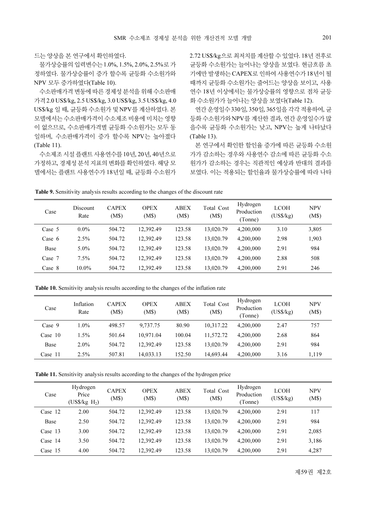드는 양상을 본 연구에서 확인하였다.

물가상승률의 입력변수는 1.0%, 1.5%, 2.0%, 2.5%로 가 정하였다. 물가상승률이 증가 할수록 균등화 수소원가와 NPV 모두 증가하였다(Table 10).

수소판매가격 변동에 따른 경제성 분석을 위해 수소판매 가격 2.0 US\$/kg, 2.5 US\$/kg, 3.0 US\$/kg, 3.5 US\$/kg, 4.0 US\$/kg 일 때, 균등화 수소원가 및 NPV를 계산하였다. 본 모델에서는 수소판매가격이 수소제조 비용에 미치는 영향 이 없으므로, 수소판매가격별 균등화 수소원가는 모두 동 일하며, 수소판매가격이 증가 할수록 NPV는 높아졌다 (Table 11).

수소제조 시설 플랜트 사용연수를 10년, 20년, 40년으로 가정하고, 경제성 분석 지표의 변화를 확인하였다. 해당 모 델에서는 플랜트 사용연수가 18년일 때, 균등화 수소원가 2.72 US\$/kg으로 최저치를 계산할 수 있었다. 18년 전후로 균등화 수소원가는 늘어나는 양상을 보였다. 현금흐름 초 기에만 발생하는 CAPEX로 인하여 사용연수가 18년이 될 때까지 균등화 수소원가는 줄어드는 양상을 보이고, 사용 연수 18년 이상에서는 물가상승률의 영향으로 점차 균등 화 수소원가가 늘어나는 양상을 보였다(Table 12).

연간 운영일수 330일, 350일, 365일을 각각 적용하여, 균 등화 수소원가와 NPV를 계산한 결과, 연간 운영일수가 많 을수록 균등화 수소원가는 낮고, NPV는 높게 나타났다 (Table 13).

본 연구에서 확인한 할인율 증가에 따른 균등화 수소원 가가 감소하는 경우와 사용연수 감소에 따른 균등화 수소 원가가 감소하는 경우는 직관적인 예상과 반대의 결과를 보였다. 이는 적용되는 할인율과 물가상승률에 따라 나타

| Case     | <b>Discount</b><br>Rate | <b>CAPEX</b><br>(M\$) | <b>OPEX</b><br>(M\$) | <b>ABEX</b><br>(M\$) | Total Cost<br>(M\$) | Hydrogen<br>Production<br>(Tonne) | <b>LCOH</b><br>(US\$/kg) | <b>NPV</b><br>(M\$) |
|----------|-------------------------|-----------------------|----------------------|----------------------|---------------------|-----------------------------------|--------------------------|---------------------|
| Case 5   | $0.0\%$                 | 504.72                | 12.392.49            | 123.58               | 13,020.79           | 4,200,000                         | 3.10                     | 3,805               |
| Case $6$ | 2.5%                    | 504.72                | 12.392.49            | 123.58               | 13,020.79           | 4,200,000                         | 2.98                     | 1,903               |
| Base     | $5.0\%$                 | 504.72                | 12.392.49            | 123.58               | 13,020.79           | 4,200,000                         | 2.91                     | 984                 |
| Case 7   | 7.5%                    | 504.72                | 12.392.49            | 123.58               | 13,020.79           | 4,200,000                         | 2.88                     | 508                 |
| Case 8   | 10.0%                   | 504.72                | 12.392.49            | 123.58               | 13,020.79           | 4,200,000                         | 2.91                     | 246                 |

Table 9. Sensitivity analysis results according to the changes of the discount rate

Table 10. Sensitivity analysis results according to the changes of the inflation rate

| Case      | Inflation<br>Rate | <b>CAPEX</b><br>(M\$) | <b>OPEX</b><br>(M\$) | <b>ABEX</b><br>(M\$) | Total Cost<br>(M\$) | Hydrogen<br>Production<br>(Tonne) | <b>LCOH</b><br>(US\$/kg) | <b>NPV</b><br>(M\$) |
|-----------|-------------------|-----------------------|----------------------|----------------------|---------------------|-----------------------------------|--------------------------|---------------------|
| Case 9    | 1.0%              | 498.57                | 9,737.75             | 80.90                | 10.317.22           | 4,200,000                         | 2.47                     | 757                 |
| Case $10$ | 1.5%              | 501.64                | 10.971.04            | 100.04               | 11,572.72           | 4,200,000                         | 2.68                     | 864                 |
| Base      | $2.0\%$           | 504.72                | 12,392.49            | 123.58               | 13.020.79           | 4,200,000                         | 2.91                     | 984                 |
| Case $11$ | 2.5%              | 507.81                | 14.033.13            | 152.50               | 14.693.44           | 4,200,000                         | 3.16                     | 1,119               |

Table 11. Sensitivity analysis results according to the changes of the hydrogen price

| Case      | Hydrogen<br>Price<br>$(US\$ {kg H}_2) | <b>CAPEX</b><br>(M\$) | <b>OPEX</b><br>(M\$) | <b>ABEX</b><br>(M\$) | Total Cost<br>(M\$) | Hydrogen<br>Production<br>(Tonne) | <b>LCOH</b><br>(US\$/kg) | <b>NPV</b><br>(M\$) |
|-----------|---------------------------------------|-----------------------|----------------------|----------------------|---------------------|-----------------------------------|--------------------------|---------------------|
| Case 12   | 2.00                                  | 504.72                | 12,392.49            | 123.58               | 13.020.79           | 4,200,000                         | 2.91                     | 117                 |
| Base      | 2.50                                  | 504.72                | 12.392.49            | 123.58               | 13.020.79           | 4,200,000                         | 2.91                     | 984                 |
| Case $13$ | 3.00                                  | 504.72                | 12.392.49            | 123.58               | 13.020.79           | 4,200,000                         | 2.91                     | 2,085               |
| Case 14   | 3.50                                  | 504.72                | 12.392.49            | 123.58               | 13.020.79           | 4,200,000                         | 2.91                     | 3,186               |
| Case 15   | 4.00                                  | 504.72                | 12.392.49            | 123.58               | 13.020.79           | 4,200,000                         | 2.91                     | 4,287               |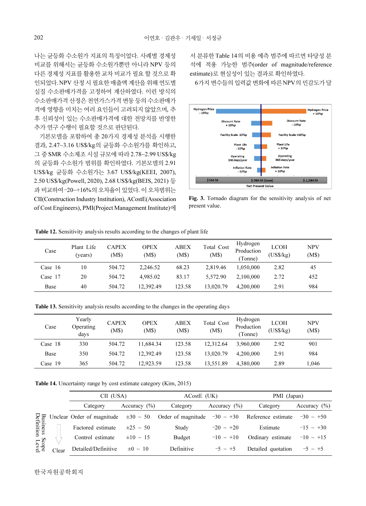나는 균등화 수소원가 지표의 특징이었다. 사례별 경제성 비교를 위해서는 균등화 수소원가뿐만 아니라 NPV 등의 다른 경제성 지표를 활용한 교차 비교가 필요 할 것으로 확 인되었다. NPV 산정 시 필요한 매출액 계산을 위해 연도별 실질 수소판매가격을 고정하여 계산하였다. 이런 방식의 수소판매가격 산정은 천연가스가격 변동 등의 수소판매가 격에 영향을 미치는 여러 요인들이 고려되지 않았으며, 추 후 신뢰성이 있는 수소판매가격에 대한 전망치를 반영한 추가 연구 수행이 필요할 것으로 판단된다.

기본모델을 포함하여 총 20가지 경제성 분석을 시행한 결과, 2.47~3.16 US\$/kg의 균등화 수소원가를 확인하고, 그 중 SMR 수소제조 시설 규모에 따라 2.78~2.99 US\$/kg 의 균등화 수소원가 범위를 확인하였다. 기본모델의 2.91 US\$/kg 균등화 수소원가는 3.67 US\$/kg(KEEI, 2007), 2.50 US\$/kg(Powell, 2020), 2.68 US\$/kg(BEIS, 2021) 등 과 비교하여 –20~+16%의 오차율이 있었다. 이 오차범위는 CII(Construction Industry Institution), ACostE(Association of Cost Engineers), PMI(Project Management Institute)에

서 분류한 Table 14의 비용 예측 범주에 따르면 타당성 분 석에 적용 가능한 범주(order of magnitude/reference estimate)로 현실성이 있는 결과로 확인하였다.

6가지 변수들의 입력값 변화에 따른 NPV의 민감도가 달



Fig. 3. Tornado diagram for the sensitivity analysis of net present value.

| Case      | Plant Life<br>(years) | <b>CAPEX</b><br>(M\$) | <b>OPEX</b><br>(M\$) | ABEX<br>(M\$) | Total Cost<br>(M\$) | Hydrogen<br>Production<br>(Tonne) | <b>LCOH</b><br>$(US\$/kg)$ | <b>NPV</b><br>(M\$) |
|-----------|-----------------------|-----------------------|----------------------|---------------|---------------------|-----------------------------------|----------------------------|---------------------|
| Case $16$ | 10                    | 504.72                | 2.246.52             | 68.23         | 2.819.46            | 1.050.000                         | 2.82                       | 45                  |
| Case 17   | 20                    | 504.72                | 4.985.02             | 83.17         | 5.572.90            | 2.100,000                         | 2.72                       | 452                 |
| Base      | 40                    | 504.72                | 12.392.49            | 123.58        | 13,020.79           | 4,200,000                         | 2.91                       | 984                 |

Table 12. Sensitivity analysis results according to the changes of plant life

Table 13. Sensitivity analysis results according to the changes in the operating days

| Case    | Yearly<br>Operating<br>days | <b>CAPEX</b><br>(M\$) | OPEX<br>(M\$) | ABEX<br>(M\$) | Total Cost<br>(M\$) | Hydrogen<br>Production<br>Tonne) | LCOH<br>(US\$/kg) | <b>NPV</b><br>(M\$) |
|---------|-----------------------------|-----------------------|---------------|---------------|---------------------|----------------------------------|-------------------|---------------------|
| Case 18 | 330                         | 504.72                | 11.684.34     | 123.58        | 12.312.64           | 3.960,000                        | 2.92              | 901                 |
| Base    | 350                         | 504.72                | 12.392.49     | 123.58        | 13,020.79           | 4,200,000                        | 2.91              | 984                 |
| Case 19 | 365                         | 504.72                | 12.923.59     | 123.58        | 13.551.89           | 4.380,000                        | 2.89              | 1.046               |

Table 14. Uncertainty range by cost estimate category (Kim, 2015)

|                               |       | CII (USA)           |                  | ACostE (UK)                                                                   |                  | PMI (Japan)        |                  |  |
|-------------------------------|-------|---------------------|------------------|-------------------------------------------------------------------------------|------------------|--------------------|------------------|--|
|                               |       | Category            | Accuracy $(\% )$ | Category                                                                      | Accuracy $(\% )$ | Category           | Accuracy $(\% )$ |  |
|                               |       |                     |                  | Unclear Order of magnitude $\pm 30 \sim 50$ Order of magnitude $-30 \sim +30$ |                  | Reference estimate | $-30 \sim +50$   |  |
| <b>Business</b><br>Definition |       | Factored estimate   | $±25 \sim 50$    | Study                                                                         | $-20 \sim +20$   | Estimate           | $-15 \sim +30$   |  |
|                               |       | Control estimate    | $\pm 10 \sim 15$ | Budget                                                                        | $-10 \sim +10$   | Ordinary estimate  | $-10 \sim +15$   |  |
| Scope<br>Level                | Clear | Detailed/Definitive | $\pm 0 \sim 10$  | Definitive                                                                    | $-5 \sim +5$     | Detailed quotation | $-5 \sim +5$     |  |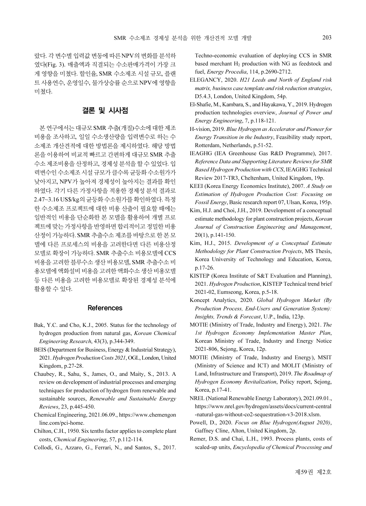랐다. 각 변수별 입력값 변동에 따른 NPV의 변화를 분석하 였다(Fig. 3). 매출액과 직결되는 수소판매가격이 가장 크 게 영향을 미쳤다. 할인율, SMR 수소제조 시설 규모, 플랜 트 사용연수, 운영일수, 물가상승률 순으로 NPV에 영향을

## 결론 및 시사점

미쳤다.

본 연구에서는 대규모 SMR 추출(개질)수소에 대한 제조 비용을 조사하고, 일일 수소생산량을 입력변수로 하는 수 소제조 개산견적에 대한 방법론을 제시하였다. 해당 방법 론을 이용하여 비교적 빠르고 간편하게 대규모 SMR 추출 수소 제조비용을 산정하고, 경제성 분석을 할 수 있었다. 입 력변수인 수소제조 시설 규모가 클수록 균등화 수소원가가 낮아지고, NPV가 높아져 경제성이 높아지는 결과를 확인 하였다. 각기 다른 가정사항을 적용한 경제성 분석 결과로 2.47~3.16 US\$/kg의 균등화 수소원가를 확인하였다. 특정 한 수소제조 프로젝트에 대한 비용 산출이 필요할 때에는 일반적인 비용을 단순화한 본 모델을 활용하여 개별 프로 젝트에 맞는 가정사항을 반영하면 합리적이고 정밀한 비용 산정이 가능하다. SMR 추출수소 제조를 바탕으로 한 본 모 델에 다른 프로세스의 비용을 고려한다면 다른 비용산정 모델로 확장이 가능하다. SMR 추출수소 비용모델에 CCS 비용을 고려한 블루수소 생산 비용모델, SMR 추출수소 비 용모델에 액화설비 비용을 고려한 액화수소 생산 비용모델 등 다른 비용을 고려한 비용모델로 확장된 경제성 분석에 활용할 수 있다.

#### References

- Bak, Y.C. and Cho, K.J., 2005. Status for the technology of hydrogen production from natural gas, Korean Chemical Engineering Research, 43(3), p.344-349.
- BEIS (Department for Business, Energy & Industrial Strategy), 2021. Hydrogen Production Costs 2021, OGL, London, United Kingdom, p.27-28.
- Chaubey, R., Sahu, S., James, O., and Maity, S., 2013. A review on development of industrial processes and emerging techniques for production of hydrogen from renewable and sustainable sources, Renewable and Sustainable Energy Reviews, 23, p.445-450.
- Chemical Engineering, 2021.06.09., https://www.chemengon line.com/pci-home.
- Chilton, C.H., 1950. Six tenths factor applies to complete plant costs, Chemical Engineering, 57, p.112-114.
- Collodi, G., Azzaro, G., Ferrari, N., and Santos, S., 2017.

Techno-economic evaluation of deploying CCS in SMR based merchant  $H_2$  production with NG as feedstock and fuel, Energy Procedia, 114, p.2690-2712.

- ELEGANCY, 2020. H21 Leeds and North of England risk matrix, business case template and risk reduction strategies, D5.4.3, London, United Kingdom, 54p.
- El-Shafie, M., Kambara, S., and Hayakawa, Y., 2019. Hydrogen production technologies overview, Journal of Power and Energy Engineering, 7, p.118-121.
- H-vision, 2019. Blue Hydrogen as Accelerator and Pioneer for Energy Transition in the Industry, Feasibility study report, Rotterdam, Netherlands, p.51-52.
- IEAGHG (IEA Greenhouse Gas R&D Programme), 2017. Reference Data and Supporting Literature Reviews for SMR Based Hydrogen Production with CCS, IEAGHG Technical Review 2017-TR3, Cheltenham, United Kingdom, 19p.
- KEEI (Korea Energy Economics Institute), 2007. A Study on Estimation of Hydrogen Production Cost: Focusing on Fossil Energy, Basic research report 07, Ulsan, Korea, 195p.
- Kim, H.J. and Choi, J.H., 2019. Development of a conceptual estimate methodology for plant construction projects, Korean Journal of Construction Engineering and Management, 20(1), p.141-150.
- Kim, H.J., 2015. Development of a Conceptual Estimate Methodology for Plant Construction Projects, MS Thesis, Korea University of Technology and Education, Korea, p.17-26.
- KISTEP (Korea Institute of S&T Evaluation and Planning), 2021. Hydrogen Production, KISTEP Technical trend brief 2021-02, Eumseong, Korea, p.5-18.
- Koncept Analytics, 2020. Global Hydrogen Market (By Production Process, End-Users and Generation System): Insights, Trends & Forecast, U.P., India, 123p.
- MOTIE (Ministry of Trade, Industry and Energy), 2021. The 1st Hydrogen Economy Implementation Master Plan, Korean Ministry of Trade, Industry and Energy Notice 2021-806, Sejong, Korea, 12p.
- MOTIE (Ministry of Trade, Industry and Energy), MSIT (Ministry of Science and ICT) and MOLIT (Ministry of Land, Infrastructure and Transport), 2019. The Roadmap of Hydrogen Economy Revitalization, Policy report, Sejong, Korea, p.17-41.
- NREL (National Renewable Energy Laboratory), 2021.09.01., https://www.nrel.gov/hydrogen/assets/docs/current-central -natural-gas-without-co2-sequestration-v3-2018.xlsm.
- Powell, D., 2020. Focus on Blue Hydrogen(August 2020), Gaffney Cline, Alton, United Kingdom, 2p.
- Remer, D.S. and Chai, L.H., 1993. Process plants, costs of scaled-up units, Encyclopedia of Chemical Processing and